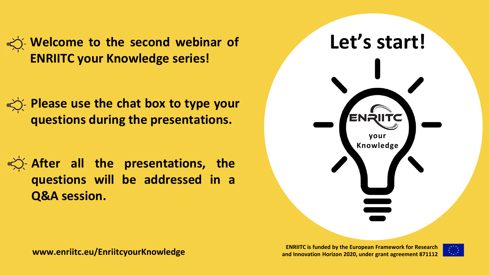**Welcome to the second webinar of Let's start! ENRIITC your Knowledge series!**

**Please use the chat box to type your questions during the presentations.**

**After all the presentations, the questions will be addressed in a Q&A session.**



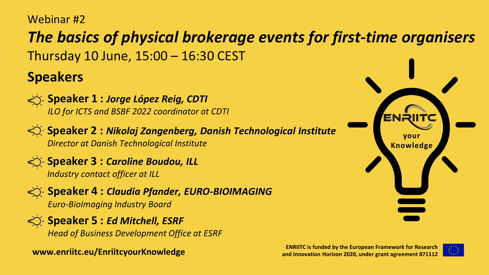#### Webinar #2

### *The basics of physical brokerage events for first-time organisers*

Thursday 10 June, 15:00 – 16:30 CEST

### **Speakers**



**Speaker 1 :** *Jorge López Reig, CDTI ILO for ICTS and BSBF 2022 coordinator at CDTI*



**Speaker 2 : Nikolaj Zangenberg, Danish Technological Institute** *Director at Danish Technological Institute*



**Speaker 3 : Caroline Boudou, ILL** *Industry contact officer at ILL*



**Speaker 4 : Claudia Pfander, EURO-BIOIMAGING** *Euro-BioImaging Industry Board*

**Speaker 5 : Ed Mitchell, ESRF** *Head of Business Development Office at ESRF*



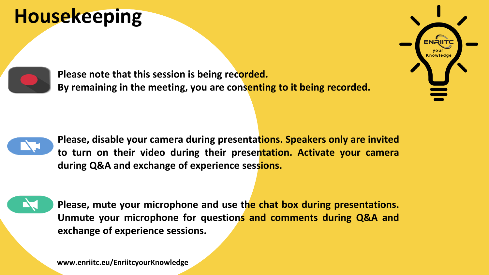# **Housekeeping**



**Please note that this session is being recorded. By remaining in the meeting, you are consenting to it being recorded.**



**Please, disable your camera during presentations. Speakers only are invited to turn on their video during their presentation. Activate your camera during Q&A and exchange of experience sessions.**



**Please, mute your microphone and use the chat box during presentations. Unmute your microphone for questions and comments during Q&A and exchange of experience sessions.**



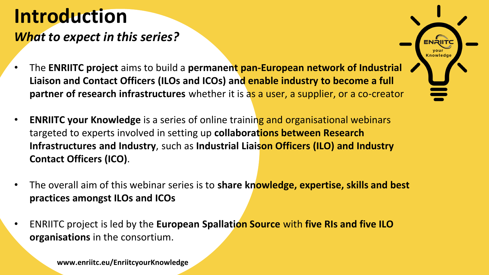### *What to expect in this series?*

- The **ENRIITC project** aims to build a **permanent pan-European network of Industrial Liaison and Contact Officers (ILOs and ICOs) and enable industry to become a full partner of research infrastructures** whether it is as a user, a supplier, or a co-creator
- **ENRIITC your Knowledge** is a series of online training and organisational webinars targeted to experts involved in setting up **collaborations between Research Infrastructures and Industry**, such as **Industrial Liaison Officers (ILO) and Industry Contact Officers (ICO)**.
- The overall aim of this webinar series is to **share knowledge, expertise, skills and best practices amongst ILOs and ICOs**
- ENRIITC project is led by the **European Spallation Source** with **five RIs and five ILO organisations** in the consortium.

**your Knowledge**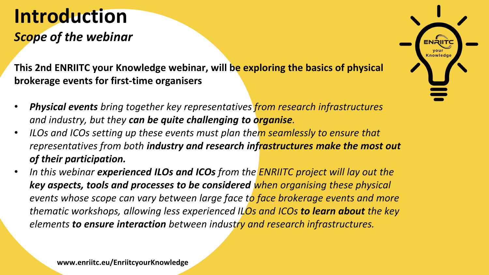### **Introduction** *Scope of the webinar*

**This 2nd ENRIITC your Knowledge webinar, will be exploring the basics of physical brokerage events for first-time organisers**

- *Physical events bring together key representatives from research infrastructures and industry, but they can be quite challenging to organise.*
- *ILOs and ICOs setting up these events must plan them seamlessly to ensure that representatives from both industry and research infrastructures make the most out of their participation.*
- *In this webinar experienced ILOs and ICOs from the ENRIITC project will lay out the key aspects, tools and processes to be considered when organising these physical events whose scope can vary between large face to face brokerage events and more thematic workshops, allowing less experienced ILOs and ICOs to learn about the key elements to ensure interaction between industry and research infrastructures.*

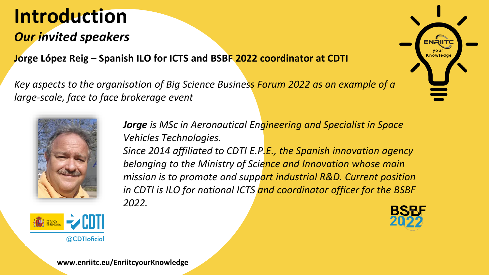### *Our invited speakers*

**Knowledge Jorge López Reig – Spanish ILO for ICTS and BSBF 2022 coordinator at CDTI**

*Key aspects to the organisation of Big Science Business Forum 2022 as an example of a large-scale, face to face brokerage event*





*Jorge is MSc in Aeronautical Engineering and Specialist in Space Vehicles Technologies.*

*Since 2014 affiliated to CDTI E.P.E., the Spanish innovation agency belonging to the Ministry of Science and Innovation whose main mission is to promote and support industrial R&D. Current position in CDTI is ILO for national ICTS and coordinator officer for the BSBF 2022.*





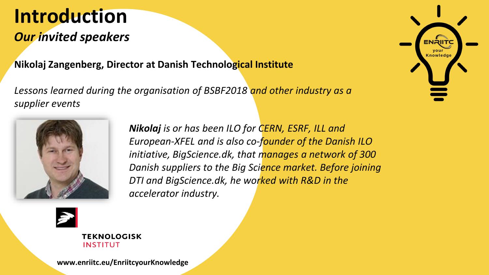### *Our invited speakers*

#### **Nikolaj Zangenberg, Director at Danish Technological Institute**

*Lessons learned during the organisation of BSBF2018 and other industry as a supplier events*



*Nikolaj is or has been ILO for CERN, ESRF, ILL and European-XFEL and is also co-founder of the Danish ILO initiative, BigScience.dk, that manages a network of 300 Danish suppliers to the Big Science market. Before joining DTI and BigScience.dk, he worked with R&D in the accelerator industry.*



**TEKNOLOGISK INSTITUT** 

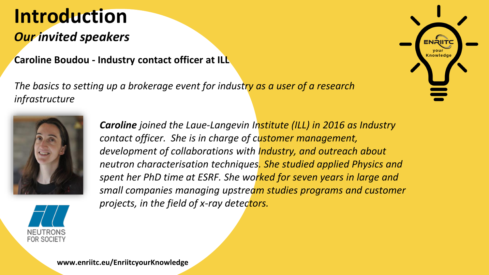### *Our invited speakers*

**Karoline Boudou - Industry contact officer at ILL** 

*The basics to setting up a brokerage event for industry as a user of a research infrastructure*





*Caroline joined the Laue-Langevin Institute (ILL) in 2016 as Industry contact officer. She is in charge of customer management, development of collaborations with Industry, and outreach about neutron characterisation techniques. She studied applied Physics and spent her PhD time at ESRF. She worked for seven years in large and small companies managing upstream studies programs and customer projects, in the field of x-ray detectors.* 

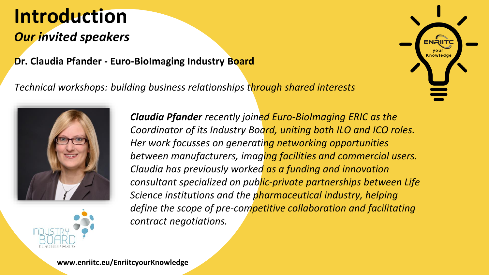### *Our invited speakers*

#### **Dr. Claudia Pfander - Euro-BioImaging Industry Board**

*Technical workshops: building business relationships through shared interests*



*Claudia Pfander recently joined Euro-BioImaging ERIC as the Coordinator of its Industry Board, uniting both ILO and ICO roles. Her work focusses on generating networking opportunities between manufacturers, imaging facilities and commercial users. Claudia has previously worked as a funding and innovation consultant specialized on public-private partnerships between Life Science institutions and the pharmaceutical industry, helping define the scope of pre-competitive collaboration and facilitating contract negotiations.*

**your Knowledge**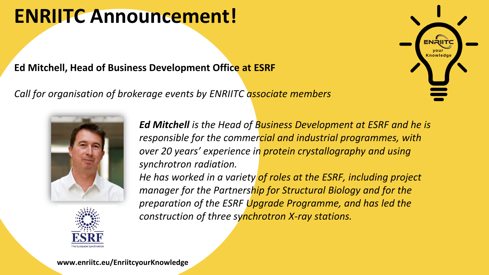## **ENRIITC Announcement!**

#### **Ed Mitchell, Head of Business Development Office at ESRF**

*Call for organisation of brokerage events by ENRIITC associate members*





*Ed Mitchell is the Head of Business Development at ESRF and he is responsible for the commercial and industrial programmes, with over 20 years' experience in protein crystallography and using synchrotron radiation.* 

*He has worked in a variety of roles at the ESRF, including project manager for the Partnership for Structural Biology and for the preparation of the ESRF Upgrade Programme, and has led the construction of three synchrotron X-ray stations.* 

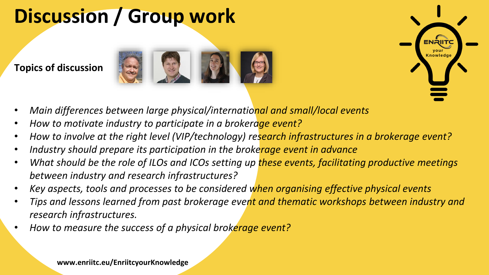# **Discussion / Group work**

**Topics of discussion**





- *Main differences between large physical/international and small/local events*
- *How to motivate industry to participate in a brokerage event?*
- *How to involve at the right level (VIP/technology) research infrastructures in a brokerage event?*
- *Industry should prepare its participation in the brokerage event in advance*
- *What should be the role of ILOs and ICOs setting up these events, facilitating productive meetings between industry and research infrastructures?*
- *Key aspects, tools and processes to be considered when organising effective physical events*
- *Tips and lessons learned from past brokerage event and thematic workshops between industry and research infrastructures.*
- *How to measure the success of a physical brokerage event?*